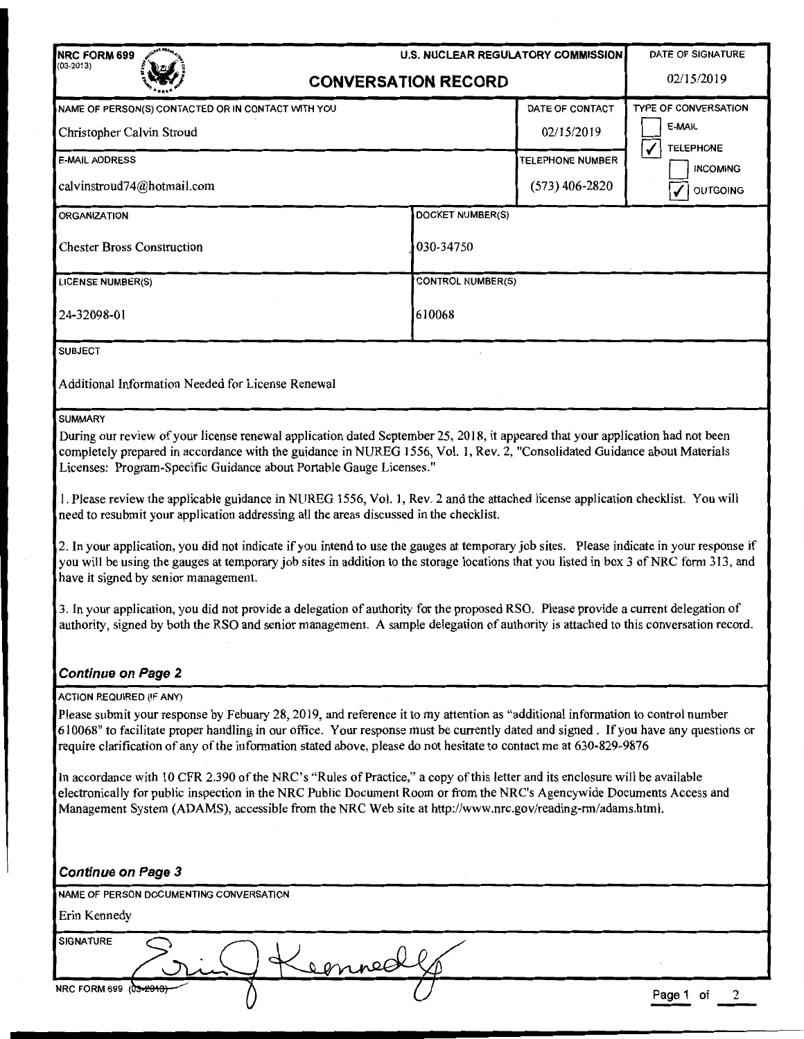| NRC FORM 699<br><b>U.S. NUCLEAR REGULATORY COMMISSION</b>                                                                                                                                                                                                                                                                                                                                                                                                                                                                                                                                                                                                                                                                                                                                                                                                                                                                                                                                                                                                                                                                                                                                                                |                          |                         | DATE OF SIGNATURE                   |
|--------------------------------------------------------------------------------------------------------------------------------------------------------------------------------------------------------------------------------------------------------------------------------------------------------------------------------------------------------------------------------------------------------------------------------------------------------------------------------------------------------------------------------------------------------------------------------------------------------------------------------------------------------------------------------------------------------------------------------------------------------------------------------------------------------------------------------------------------------------------------------------------------------------------------------------------------------------------------------------------------------------------------------------------------------------------------------------------------------------------------------------------------------------------------------------------------------------------------|--------------------------|-------------------------|-------------------------------------|
| $(03 - 2013)$<br><b>CONVERSATION RECORD</b>                                                                                                                                                                                                                                                                                                                                                                                                                                                                                                                                                                                                                                                                                                                                                                                                                                                                                                                                                                                                                                                                                                                                                                              |                          |                         | 02/15/2019                          |
| NAME OF PERSON(S) CONTACTED OR IN CONTACT WITH YOU                                                                                                                                                                                                                                                                                                                                                                                                                                                                                                                                                                                                                                                                                                                                                                                                                                                                                                                                                                                                                                                                                                                                                                       |                          | DATE OF CONTACT         | <b>TYPE OF CONVERSATION</b>         |
| Christopher Calvin Stroud                                                                                                                                                                                                                                                                                                                                                                                                                                                                                                                                                                                                                                                                                                                                                                                                                                                                                                                                                                                                                                                                                                                                                                                                |                          | 02/15/2019              | E-MAIL                              |
| <b>E-MAIL ADDRESS</b>                                                                                                                                                                                                                                                                                                                                                                                                                                                                                                                                                                                                                                                                                                                                                                                                                                                                                                                                                                                                                                                                                                                                                                                                    |                          | <b>TELEPHONE NUMBER</b> | <b>TELEPHONE</b><br><b>INCOMING</b> |
| calvinstroud74@hotmail.com                                                                                                                                                                                                                                                                                                                                                                                                                                                                                                                                                                                                                                                                                                                                                                                                                                                                                                                                                                                                                                                                                                                                                                                               |                          | $(573)$ 406-2820        | <b>OUTGOING</b>                     |
| ORGANIZATION                                                                                                                                                                                                                                                                                                                                                                                                                                                                                                                                                                                                                                                                                                                                                                                                                                                                                                                                                                                                                                                                                                                                                                                                             | <b>DOCKET NUMBER(S)</b>  |                         |                                     |
| <b>Chester Bross Construction</b>                                                                                                                                                                                                                                                                                                                                                                                                                                                                                                                                                                                                                                                                                                                                                                                                                                                                                                                                                                                                                                                                                                                                                                                        | 030-34750                |                         |                                     |
| <b>LICENSE NUMBER(S)</b>                                                                                                                                                                                                                                                                                                                                                                                                                                                                                                                                                                                                                                                                                                                                                                                                                                                                                                                                                                                                                                                                                                                                                                                                 | <b>CONTROL NUMBER(S)</b> |                         |                                     |
| 24-32098-01                                                                                                                                                                                                                                                                                                                                                                                                                                                                                                                                                                                                                                                                                                                                                                                                                                                                                                                                                                                                                                                                                                                                                                                                              | 610068                   |                         |                                     |
| <b>SUBJECT</b>                                                                                                                                                                                                                                                                                                                                                                                                                                                                                                                                                                                                                                                                                                                                                                                                                                                                                                                                                                                                                                                                                                                                                                                                           |                          |                         |                                     |
| Additional Information Needed for License Renewal                                                                                                                                                                                                                                                                                                                                                                                                                                                                                                                                                                                                                                                                                                                                                                                                                                                                                                                                                                                                                                                                                                                                                                        |                          |                         |                                     |
| <b>SUMMARY</b><br>During our review of your license renewal application dated September 25, 2018, it appeared that your application had not been<br>completely prepared in accordance with the guidance in NUREG 1556, Vol. 1, Rev. 2, "Consolidated Guidance about Materials<br>Licenses: Program-Specific Guidance about Portable Gauge Licenses."<br>1. Please review the applicable guidance in NUREG 1556, Vol. 1, Rev. 2 and the attached license application checklist. You will<br>need to resubmit your application addressing all the areas discussed in the checklist.<br>2. In your application, you did not indicate if you intend to use the gauges at temporary job sites. Please indicate in your response if<br>you will be using the gauges at temporary job sites in addition to the storage locations that you listed in box 3 of NRC form 313, and<br>have it signed by senior management.<br>3. In your application, you did not provide a delegation of authority for the proposed RSO. Please provide a current delegation of<br>authority, signed by both the RSO and senior management. A sample delegation of authority is attached to this conversation record.<br><b>Continue on Page 2</b> |                          |                         |                                     |
| <b>ACTION REQUIRED (IF ANY)</b><br>Please submit your response by Febuary 28, 2019, and reference it to my attention as "additional information to control number<br>610068" to facilitate proper handling in our office. Your response must be currently dated and signed. If you have any questions or<br>require clarification of any of the information stated above, please do not hesitate to contact me at 630-829-9876<br>In accordance with 10 CFR 2.390 of the NRC's "Rules of Practice," a copy of this letter and its enclosure will be available<br>electronically for public inspection in the NRC Public Document Room or from the NRC's Agencywide Documents Access and<br>Management System (ADAMS), accessible from the NRC Web site at http://www.nrc.gov/reading-rm/adams.html.<br><b>Continue on Page 3</b>                                                                                                                                                                                                                                                                                                                                                                                         |                          |                         |                                     |
| NAME OF PERSON DOCUMENTING CONVERSATION                                                                                                                                                                                                                                                                                                                                                                                                                                                                                                                                                                                                                                                                                                                                                                                                                                                                                                                                                                                                                                                                                                                                                                                  |                          |                         |                                     |
| Erin Kennedy                                                                                                                                                                                                                                                                                                                                                                                                                                                                                                                                                                                                                                                                                                                                                                                                                                                                                                                                                                                                                                                                                                                                                                                                             |                          |                         |                                     |
| <b>SIGNATURE</b><br>egnnes                                                                                                                                                                                                                                                                                                                                                                                                                                                                                                                                                                                                                                                                                                                                                                                                                                                                                                                                                                                                                                                                                                                                                                                               |                          |                         |                                     |
| NRC FORM 699 (03-201<br>Page 1 of                                                                                                                                                                                                                                                                                                                                                                                                                                                                                                                                                                                                                                                                                                                                                                                                                                                                                                                                                                                                                                                                                                                                                                                        |                          |                         |                                     |